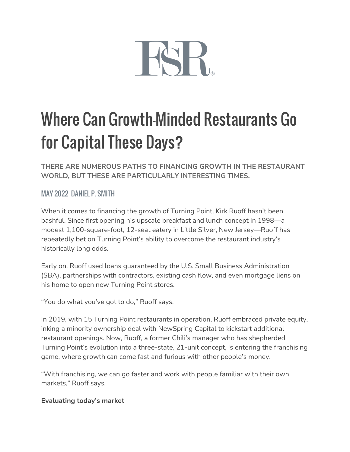

# Where Can Growth-Minded Restaurants Go for Capital These Days?

**THERE ARE NUMEROUS PATHS TO FINANCING GROWTH IN THE RESTAURANT WORLD, BUT THESE ARE PARTICULARLY INTERESTING TIMES.**

## MAY 2022 [DANIEL P. SMITH](https://www.fsrmagazine.com/author/daniel-p-smith)

When it comes to financing the growth of Turning Point, Kirk Ruoff hasn't been bashful. Since first opening his upscale breakfast and lunch concept in 1998—a modest 1,100-square-foot, 12-seat eatery in Little Silver, New Jersey—Ruoff has repeatedly bet on Turning Point's ability to overcome the restaurant industry's historically long odds.

Early on, Ruoff used loans guaranteed by the U.S. Small Business Administration (SBA), partnerships with contractors, existing cash flow, and even mortgage liens on his home to open new Turning Point stores.

"You do what you've got to do," Ruoff says.

In 2019, with 15 Turning Point restaurants in operation, Ruoff embraced private equity, inking a minority ownership deal with NewSpring Capital to kickstart additional restaurant openings. Now, Ruoff, a former Chili's manager who has shepherded Turning Point's evolution into a three-state, 21-unit concept, is entering the franchising game, where growth can come fast and furious with other people's money.

"With franchising, we can go faster and work with people familiar with their own markets," Ruoff says.

### **Evaluating today's market**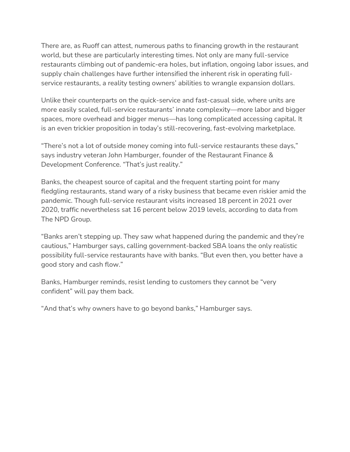There are, as Ruoff can attest, numerous paths to financing growth in the restaurant world, but these are particularly interesting times. Not only are many full-service restaurants climbing out of pandemic-era holes, but inflation, ongoing labor issues, and supply chain challenges have further intensified the inherent risk in operating fullservice restaurants, a reality testing owners' abilities to wrangle expansion dollars.

Unlike their counterparts on the quick-service and fast-casual side, where units are more easily scaled, full-service restaurants' innate complexity—more labor and bigger spaces, more overhead and bigger menus—has long complicated accessing capital. It is an even trickier proposition in today's still-recovering, fast-evolving marketplace.

"There's not a lot of outside money coming into full-service restaurants these days," says industry veteran John Hamburger, founder of the Restaurant Finance & Development Conference. "That's just reality."

Banks, the cheapest source of capital and the frequent starting point for many fledgling restaurants, stand wary of a risky business that became even riskier amid the pandemic. Though full-service restaurant visits increased 18 percent in 2021 over 2020, traffic nevertheless sat 16 percent below 2019 levels, according to data from The NPD Group.

"Banks aren't stepping up. They saw what happened during the pandemic and they're cautious," Hamburger says, calling government-backed SBA loans the only realistic possibility full-service restaurants have with banks. "But even then, you better have a good story and cash flow."

Banks, Hamburger reminds, resist lending to customers they cannot be "very confident" will pay them back.

"And that's why owners have to go beyond banks," Hamburger says.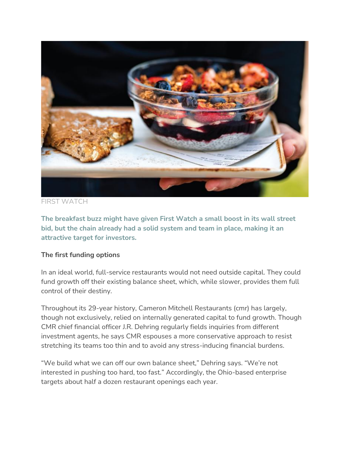

FIRST WATCH

**The breakfast buzz might have given First Watch a small boost in its wall street bid, but the chain already had a solid system and team in place, making it an attractive target for investors.**

### **The first funding options**

In an ideal world, full-service restaurants would not need outside capital. They could fund growth off their existing balance sheet, which, while slower, provides them full control of their destiny.

Throughout its 29-year history, Cameron Mitchell Restaurants (cmr) has largely, though not exclusively, relied on internally generated capital to fund growth. Though CMR chief financial officer J.R. Dehring regularly fields inquiries from different investment agents, he says CMR espouses a more conservative approach to resist stretching its teams too thin and to avoid any stress-inducing financial burdens.

"We build what we can off our own balance sheet," Dehring says. "We're not interested in pushing too hard, too fast." Accordingly, the Ohio-based enterprise targets about half a dozen restaurant openings each year.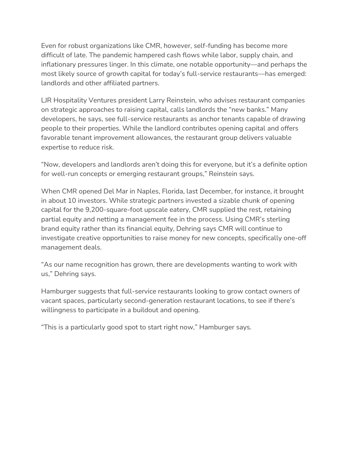Even for robust organizations like CMR, however, self-funding has become more difficult of late. The pandemic hampered cash flows while labor, supply chain, and inflationary pressures linger. In this climate, one notable opportunity—and perhaps the most likely source of growth capital for today's full-service restaurants—has emerged: landlords and other affiliated partners.

LJR Hospitality Ventures president Larry Reinstein, who advises restaurant companies on strategic approaches to raising capital, calls landlords the "new banks." Many developers, he says, see full-service restaurants as anchor tenants capable of drawing people to their properties. While the landlord contributes opening capital and offers favorable tenant improvement allowances, the restaurant group delivers valuable expertise to reduce risk.

"Now, developers and landlords aren't doing this for everyone, but it's a definite option for well-run concepts or emerging restaurant groups," Reinstein says.

When CMR opened Del Mar in Naples, Florida, last December, for instance, it brought in about 10 investors. While strategic partners invested a sizable chunk of opening capital for the 9,200-square-foot upscale eatery, CMR supplied the rest, retaining partial equity and netting a management fee in the process. Using CMR's sterling brand equity rather than its financial equity, Dehring says CMR will continue to investigate creative opportunities to raise money for new concepts, specifically one-off management deals.

"As our name recognition has grown, there are developments wanting to work with us," Dehring says.

Hamburger suggests that full-service restaurants looking to grow contact owners of vacant spaces, particularly second-generation restaurant locations, to see if there's willingness to participate in a buildout and opening.

"This is a particularly good spot to start right now," Hamburger says.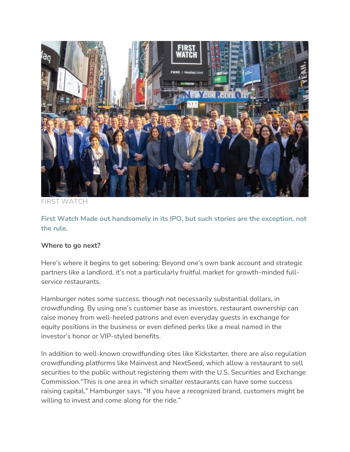

FIRST WATCH

**First Watch Made out handsomely in its IPO, but such stories are the exception, not the rule.**

#### **Where to go next?**

Here's where it begins to get sobering: Beyond one's own bank account and strategic partners like a landlord, it's not a particularly fruitful market for growth-minded fullservice restaurants.

Hamburger notes some success, though not necessarily substantial dollars, in crowdfunding. By using one's customer base as investors, restaurant ownership can raise money from well-heeled patrons and even everyday guests in exchange for equity positions in the business or even defined perks like a meal named in the investor's honor or VIP-styled benefits.

In addition to well-known crowdfunding sites like Kickstarter, there are also regulation crowdfunding platforms like Mainvest and NextSeed, which allow a restaurant to sell securities to the public without registering them with the U.S. Securities and Exchange Commission."This is one area in which smaller restaurants can have some success raising capital," Hamburger says. "If you have a recognized brand, customers might be willing to invest and come along for the ride."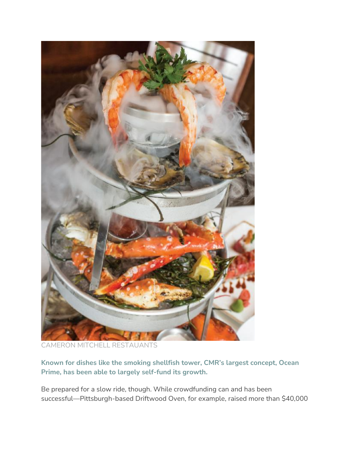

CAMERON MITCHELL RESTAUANTS

**Known for dishes like the smoking shellfish tower, CMR's largest concept, Ocean Prime, has been able to largely self-fund its growth.**

Be prepared for a slow ride, though. While crowdfunding can and has been successful—Pittsburgh-based Driftwood Oven, for example, raised more than \$40,000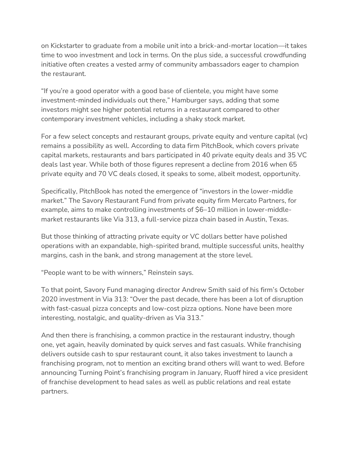on Kickstarter to graduate from a mobile unit into a brick-and-mortar location—it takes time to woo investment and lock in terms. On the plus side, a successful crowdfunding initiative often creates a vested army of community ambassadors eager to champion the restaurant.

"If you're a good operator with a good base of clientele, you might have some investment-minded individuals out there," Hamburger says, adding that some investors might see higher potential returns in a restaurant compared to other contemporary investment vehicles, including a shaky stock market.

For a few select concepts and restaurant groups, private equity and venture capital (vc) remains a possibility as well. According to data firm PitchBook, which covers private capital markets, restaurants and bars participated in 40 private equity deals and 35 VC deals last year. While both of those figures represent a decline from 2016 when 65 private equity and 70 VC deals closed, it speaks to some, albeit modest, opportunity.

Specifically, PitchBook has noted the emergence of "investors in the lower-middle market." The Savory Restaurant Fund from private equity firm Mercato Partners, for example, aims to make controlling investments of \$6–10 million in lower-middlemarket restaurants like Via 313, a full-service pizza chain based in Austin, Texas.

But those thinking of attracting private equity or VC dollars better have polished operations with an expandable, high-spirited brand, multiple successful units, healthy margins, cash in the bank, and strong management at the store level.

"People want to be with winners," Reinstein says.

To that point, Savory Fund managing director Andrew Smith said of his firm's October 2020 investment in Via 313: "Over the past decade, there has been a lot of disruption with fast-casual pizza concepts and low-cost pizza options. None have been more interesting, nostalgic, and quality-driven as Via 313."

And then there is franchising, a common practice in the restaurant industry, though one, yet again, heavily dominated by quick serves and fast casuals. While franchising delivers outside cash to spur restaurant count, it also takes investment to launch a franchising program, not to mention an exciting brand others will want to wed. Before announcing Turning Point's franchising program in January, Ruoff hired a vice president of franchise development to head sales as well as public relations and real estate partners.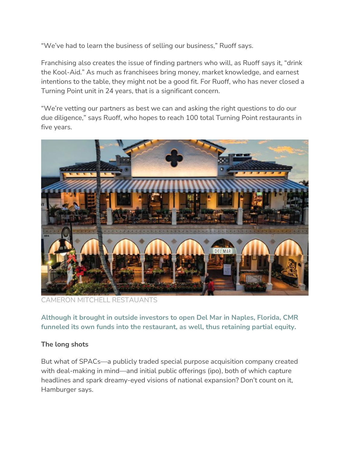"We've had to learn the business of selling our business," Ruoff says.

Franchising also creates the issue of finding partners who will, as Ruoff says it, "drink the Kool-Aid." As much as franchisees bring money, market knowledge, and earnest intentions to the table, they might not be a good fit. For Ruoff, who has never closed a Turning Point unit in 24 years, that is a significant concern.

"We're vetting our partners as best we can and asking the right questions to do our due diligence," says Ruoff, who hopes to reach 100 total Turning Point restaurants in five years.



CAMERON MITCHELL RESTAUANTS

**Although it brought in outside investors to open Del Mar in Naples, Florida, CMR funneled its own funds into the restaurant, as well, thus retaining partial equity.**

### **The long shots**

But what of SPACs—a publicly traded special purpose acquisition company created with deal-making in mind—and initial public offerings (ipo), both of which capture headlines and spark dreamy-eyed visions of national expansion? Don't count on it, Hamburger says.